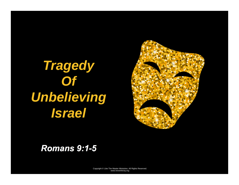# *Tragedy*  **Of Unbelieving** *Israel*



#### *Romans 9:1-5*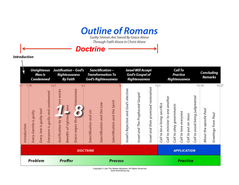**Outline of Romans** Guilty Sinners Are Saved By Grace Alone Through Faith Alone in Christ Alone

*Doctrine*

**Introduction** 

|              | <b>Unrighteous</b><br>Man Is<br>Condemned                                                          | Justification - God's<br>Righteousness<br>By Faith                                                                                                                    | Sanctification-<br><b>Transformation To</b><br>God's Righteousness                    | Israel Will Accept<br>God's Gospel of<br>Righteousness                                                             | Call To<br>Practice<br>Righteousness                                                                                                                                                       | Concluding<br>Remarks                                           |
|--------------|----------------------------------------------------------------------------------------------------|-----------------------------------------------------------------------------------------------------------------------------------------------------------------------|---------------------------------------------------------------------------------------|--------------------------------------------------------------------------------------------------------------------|--------------------------------------------------------------------------------------------------------------------------------------------------------------------------------------------|-----------------------------------------------------------------|
| Introduction | 1:18<br>guilty and condemned<br>Every Jew is guilty too!<br>Every Gentile is guilty<br>Everyone is | 6:1<br>3:21<br>righteousness<br>works<br>not <sup>1</sup><br>ъ<br>ress<br><b>K</b><br>¥<br>C<br>毒<br>Benefits of righteou<br>Grace reigns thro<br>Justification by fa | Sanctification and the Spirit<br>Sanctification and the Law<br>Sanctification and sin | Israel and their promised restoration<br>Israel's Rejection and God's election<br>Israel and The Prophesied Gospel | 12:1<br>Call to avoid being judgmental<br>Call to minister to one another<br>sacrifice<br>Call to obey governments<br>Call to love everyone<br>Call to put on Jesus<br>Call to be a living | 16:27<br>15:14<br>About the apostle Paul<br>Greetings from Paul |
|              |                                                                                                    |                                                                                                                                                                       | <b>DOCTRINE</b>                                                                       |                                                                                                                    | <b>APPLICATION</b>                                                                                                                                                                         |                                                                 |
|              | Problem                                                                                            | Proffer                                                                                                                                                               | <b>Process</b>                                                                        |                                                                                                                    | <b>Practice</b>                                                                                                                                                                            |                                                                 |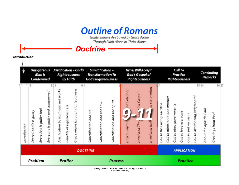**Outline of Romans** Guilty Sinners Are Saved By Grace Alone Through Faith Alone in Christ Alone

*Doctrine*

**Introduction** 

|                     | <b>Unrighteous</b><br>Man Is<br>Condemned |                                                                 |      | Justification - God's<br>Righteousness<br>By Faith |                           |                                           | Sanctification-<br>Transformation To<br>God's Righteousness |                            |                               | <b>Israel Will Accept</b><br>God's Gospel of<br>Righteousness |                                                |                                    | Call To<br>Practice<br>Righteousness   |                                 |                          |                       |                      | Concluding<br>Remarks          |                                 |                              |
|---------------------|-------------------------------------------|-----------------------------------------------------------------|------|----------------------------------------------------|---------------------------|-------------------------------------------|-------------------------------------------------------------|----------------------------|-------------------------------|---------------------------------------------------------------|------------------------------------------------|------------------------------------|----------------------------------------|---------------------------------|--------------------------|-----------------------|----------------------|--------------------------------|---------------------------------|------------------------------|
| 1:1<br>Introduction | 1:18<br>Every Gentile is guilty           | guilty and condemned<br>Every Jew is guilty too!<br>Everyone is | 3:21 | works<br>Justification by faith and not            | Benefits of righteousness | 6:1<br>Grace reigns through righteousness | Sanctification and sin                                      | Sanctification and the Law | Sanctification and the Spirit | od's election<br><b>DO</b><br>Israel's Rejectiv               | esied Gospel<br><b>Proph</b><br>Israel and The | ed restoration<br>Israel and their | sacrifice<br>enivil o<br>be<br>Call to | Call to minister to one another | Call to obey governments | Call to love everyone | Call to put on Jesus | Call to avoid being judgmental | 15:14<br>About the apostle Paul | 16:27<br>Greetings from Paul |
|                     |                                           |                                                                 |      |                                                    |                           |                                           | <b>DOCTRINE</b>                                             |                            |                               |                                                               |                                                |                                    |                                        |                                 |                          |                       | <b>APPLICATION</b>   |                                |                                 |                              |
|                     | Problem<br>Proffer                        |                                                                 |      |                                                    | <b>Process</b>            |                                           |                                                             |                            |                               |                                                               | Practice                                       |                                    |                                        |                                 |                          |                       |                      |                                |                                 |                              |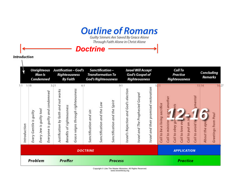**Outline of Romans** Guilty Sinners Are Saved By Grace Alone Through Faith Alone in Christ Alone

*Doctrine*

**Introduction** 

|                     | <b>Unrighteous</b><br>Man Is<br>Condemned |                          |                                                | Justification – God's<br>Righteousness<br>By Faith |                           |                                           | Sanctification-<br>Transformation To<br>God's Righteousness |                            |                               | <b>Israel Will Accept</b><br>God's Gospel of<br>Righteousness |                                  |                                       |                                      | Call To<br>Practice<br>Righteousness |                 |                  |                    |                              | Concluding<br>Remarks       |                             |  |
|---------------------|-------------------------------------------|--------------------------|------------------------------------------------|----------------------------------------------------|---------------------------|-------------------------------------------|-------------------------------------------------------------|----------------------------|-------------------------------|---------------------------------------------------------------|----------------------------------|---------------------------------------|--------------------------------------|--------------------------------------|-----------------|------------------|--------------------|------------------------------|-----------------------------|-----------------------------|--|
| 1:1<br>Introduction | 1:18<br>Every Gentile is guilty           | Every Jew is guilty too! | 3:21<br>and condemned<br>guilty<br>Everyone is | Justification by faith and not works               | Benefits of righteousness | 6:1<br>Grace reigns through righteousness | Sanctification and sin                                      | Sanctification and the Law | Sanctification and the Spirit | 9:1<br>Israel's Rejection and God's election                  | Israel and The Prophesied Gospel | Israel and their promised restoration | P:1<br>Call to be a living sacrifice | Call to minister to one another      | Call to obey go | Call to love eve | Call to put on Je  | dgmental<br>Call to avoid by | 15:14<br>O<br>About the apo | 1627<br>Greetings from Paul |  |
|                     |                                           |                          |                                                |                                                    |                           |                                           | <b>DOCTRINE</b>                                             |                            |                               |                                                               |                                  |                                       |                                      |                                      |                 |                  | <b>APPLICATION</b> |                              |                             |                             |  |
|                     | Problem                                   |                          |                                                | Proffer                                            |                           |                                           | <b>Process</b>                                              |                            |                               |                                                               |                                  |                                       | <b>Practice</b>                      |                                      |                 |                  |                    |                              |                             |                             |  |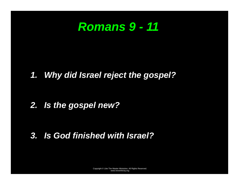## *Romans 9 - 11*

#### *1. Why did Israel reject the gospel?*

#### *2. Is the gospel new?*

#### *3. Is God finished with Israel?*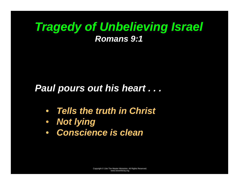#### *Paul pours out his heart . . .*

- *Tells the truth in Christ*
- *Not lying*
- $\bullet$ *Conscience is clean*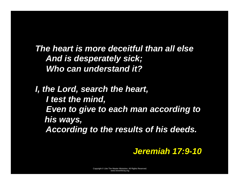*The heart is more deceitful than all else And is desperately sick; Who can understand it?* 

*I, the Lord, search the heart, I test the mind, Even to give to each man according to his ways, According to the results of his deeds.* 

*Jeremiah 17:9-10*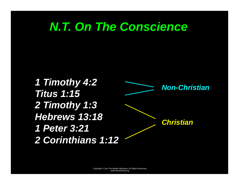# *N.T. On The Conscience*

*1 Timothy 4:2 Titus 1:15 2 Timothy 1:3 Hebrews 13:18 1 Peter 3:21 2 Corinthians 1:12 Non-Christian Christian*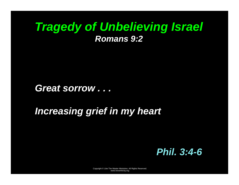*Great sorrow . . .* 

#### *Increasing grief in my heart*

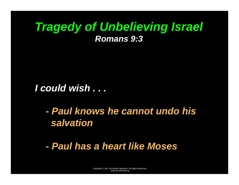*I could wish . . .* 

*- Paul knows he cannot undo his salvation* 

 *- Paul has a heart like Moses*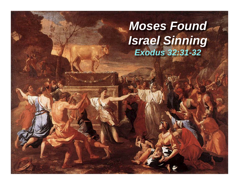# *Moses Found Israel Sinning Exodus 32:31-32*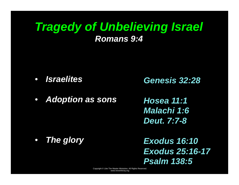$\bullet$ *Israelites* 

*Genesis 32:28* 

 $\bullet$ *Adoption as sons* 

*Hosea 11:1 Malachi 1:6 Deut. 7:7-8* 

 $\bullet$ *The glory*

*Exodus 16:10 Exodus 25:16-17 Psalm 138:5*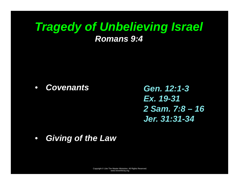$\bullet$ *Covenants* 

*Gen. 12:1-3 Ex. 19-31 2 Sam. 7:8 – 16 Jer. 31:31-34* 

 $\bullet$ *Giving of the Law*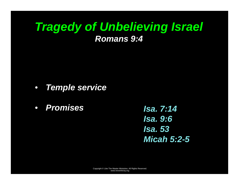- *Temple service*
- *Promises*

*Isa. 7:14 Isa. 9:6 Isa. 53 Micah 5:2-5*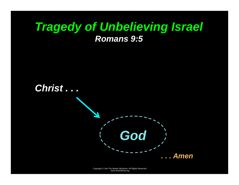